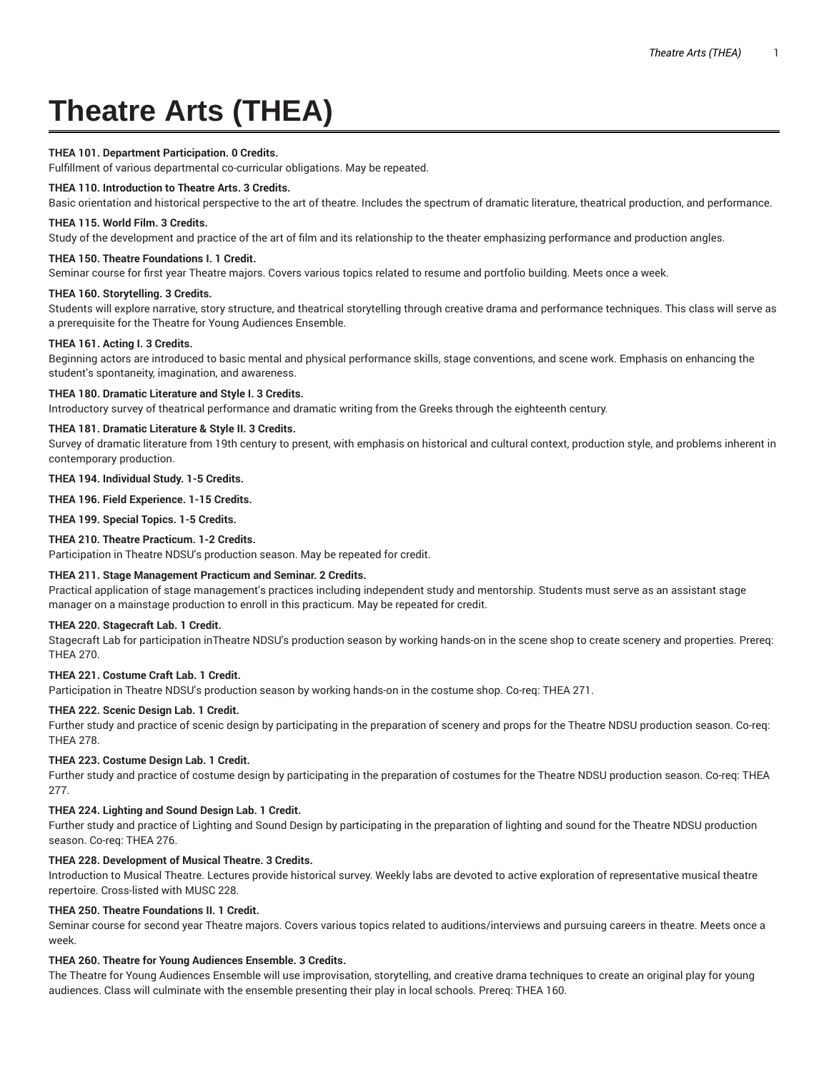# **Theatre Arts (THEA)**

# **THEA 101. Department Participation. 0 Credits.**

Fulfillment of various departmental co-curricular obligations. May be repeated.

# **THEA 110. Introduction to Theatre Arts. 3 Credits.**

Basic orientation and historical perspective to the art of theatre. Includes the spectrum of dramatic literature, theatrical production, and performance.

## **THEA 115. World Film. 3 Credits.**

Study of the development and practice of the art of film and its relationship to the theater emphasizing performance and production angles.

# **THEA 150. Theatre Foundations I. 1 Credit.**

Seminar course for first year Theatre majors. Covers various topics related to resume and portfolio building. Meets once a week.

## **THEA 160. Storytelling. 3 Credits.**

Students will explore narrative, story structure, and theatrical storytelling through creative drama and performance techniques. This class will serve as a prerequisite for the Theatre for Young Audiences Ensemble.

## **THEA 161. Acting I. 3 Credits.**

Beginning actors are introduced to basic mental and physical performance skills, stage conventions, and scene work. Emphasis on enhancing the student's spontaneity, imagination, and awareness.

## **THEA 180. Dramatic Literature and Style I. 3 Credits.**

Introductory survey of theatrical performance and dramatic writing from the Greeks through the eighteenth century.

# **THEA 181. Dramatic Literature & Style II. 3 Credits.**

Survey of dramatic literature from 19th century to present, with emphasis on historical and cultural context, production style, and problems inherent in contemporary production.

## **THEA 194. Individual Study. 1-5 Credits.**

**THEA 196. Field Experience. 1-15 Credits.**

**THEA 199. Special Topics. 1-5 Credits.**

# **THEA 210. Theatre Practicum. 1-2 Credits.**

Participation in Theatre NDSU's production season. May be repeated for credit.

# **THEA 211. Stage Management Practicum and Seminar. 2 Credits.**

Practical application of stage management's practices including independent study and mentorship. Students must serve as an assistant stage manager on a mainstage production to enroll in this practicum. May be repeated for credit.

#### **THEA 220. Stagecraft Lab. 1 Credit.**

Stagecraft Lab for participation inTheatre NDSU's production season by working hands-on in the scene shop to create scenery and properties. Prereq: THEA 270.

# **THEA 221. Costume Craft Lab. 1 Credit.**

Participation in Theatre NDSU's production season by working hands-on in the costume shop. Co-req: THEA 271.

# **THEA 222. Scenic Design Lab. 1 Credit.**

Further study and practice of scenic design by participating in the preparation of scenery and props for the Theatre NDSU production season. Co-req: THEA 278.

# **THEA 223. Costume Design Lab. 1 Credit.**

Further study and practice of costume design by participating in the preparation of costumes for the Theatre NDSU production season. Co-req: THEA 277.

# **THEA 224. Lighting and Sound Design Lab. 1 Credit.**

Further study and practice of Lighting and Sound Design by participating in the preparation of lighting and sound for the Theatre NDSU production season. Co-req: THEA 276.

# **THEA 228. Development of Musical Theatre. 3 Credits.**

Introduction to Musical Theatre. Lectures provide historical survey. Weekly labs are devoted to active exploration of representative musical theatre repertoire. Cross-listed with MUSC 228.

# **THEA 250. Theatre Foundations II. 1 Credit.**

Seminar course for second year Theatre majors. Covers various topics related to auditions/interviews and pursuing careers in theatre. Meets once a week.

# **THEA 260. Theatre for Young Audiences Ensemble. 3 Credits.**

The Theatre for Young Audiences Ensemble will use improvisation, storytelling, and creative drama techniques to create an original play for young audiences. Class will culminate with the ensemble presenting their play in local schools. Prereq: THEA 160.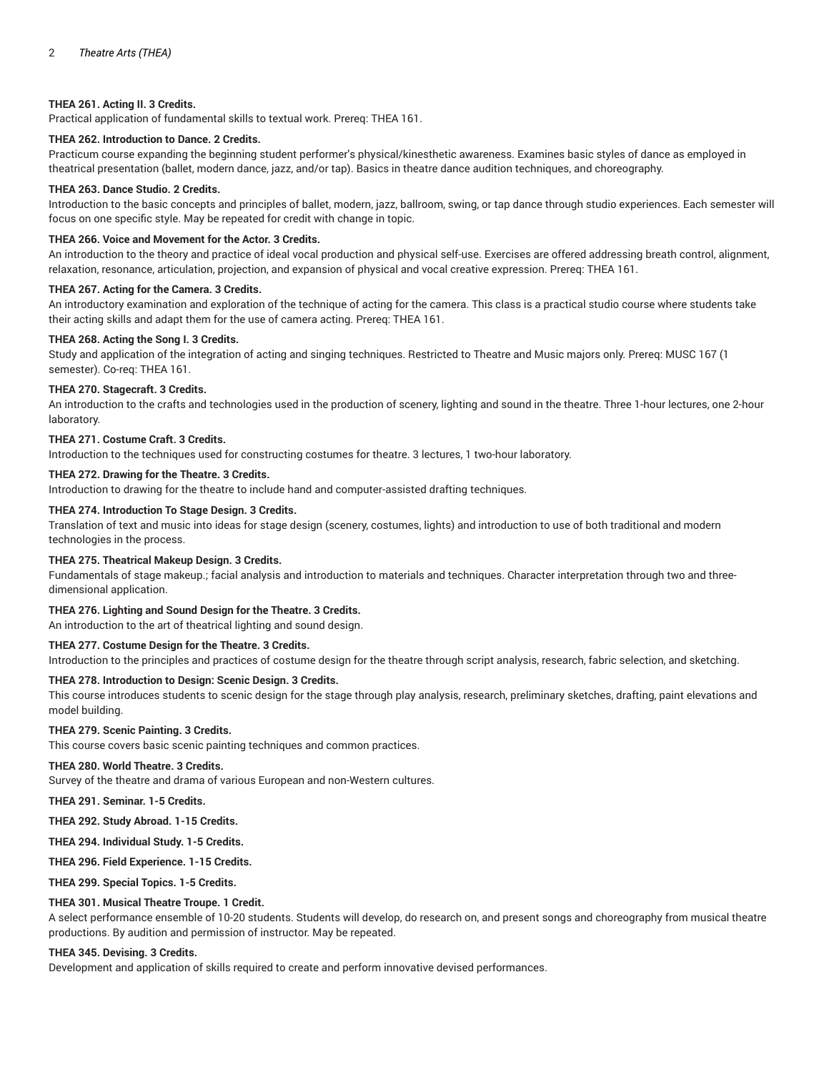# **THEA 261. Acting II. 3 Credits.**

Practical application of fundamental skills to textual work. Prereq: THEA 161.

# **THEA 262. Introduction to Dance. 2 Credits.**

Practicum course expanding the beginning student performer's physical/kinesthetic awareness. Examines basic styles of dance as employed in theatrical presentation (ballet, modern dance, jazz, and/or tap). Basics in theatre dance audition techniques, and choreography.

# **THEA 263. Dance Studio. 2 Credits.**

Introduction to the basic concepts and principles of ballet, modern, jazz, ballroom, swing, or tap dance through studio experiences. Each semester will focus on one specific style. May be repeated for credit with change in topic.

## **THEA 266. Voice and Movement for the Actor. 3 Credits.**

An introduction to the theory and practice of ideal vocal production and physical self-use. Exercises are offered addressing breath control, alignment, relaxation, resonance, articulation, projection, and expansion of physical and vocal creative expression. Prereq: THEA 161.

## **THEA 267. Acting for the Camera. 3 Credits.**

An introductory examination and exploration of the technique of acting for the camera. This class is a practical studio course where students take their acting skills and adapt them for the use of camera acting. Prereq: THEA 161.

## **THEA 268. Acting the Song I. 3 Credits.**

Study and application of the integration of acting and singing techniques. Restricted to Theatre and Music majors only. Prereq: MUSC 167 (1 semester). Co-req: THEA 161.

## **THEA 270. Stagecraft. 3 Credits.**

An introduction to the crafts and technologies used in the production of scenery, lighting and sound in the theatre. Three 1-hour lectures, one 2-hour laboratory.

## **THEA 271. Costume Craft. 3 Credits.**

Introduction to the techniques used for constructing costumes for theatre. 3 lectures, 1 two-hour laboratory.

## **THEA 272. Drawing for the Theatre. 3 Credits.**

Introduction to drawing for the theatre to include hand and computer-assisted drafting techniques.

## **THEA 274. Introduction To Stage Design. 3 Credits.**

Translation of text and music into ideas for stage design (scenery, costumes, lights) and introduction to use of both traditional and modern technologies in the process.

# **THEA 275. Theatrical Makeup Design. 3 Credits.**

Fundamentals of stage makeup.; facial analysis and introduction to materials and techniques. Character interpretation through two and threedimensional application.

# **THEA 276. Lighting and Sound Design for the Theatre. 3 Credits.**

An introduction to the art of theatrical lighting and sound design.

# **THEA 277. Costume Design for the Theatre. 3 Credits.**

Introduction to the principles and practices of costume design for the theatre through script analysis, research, fabric selection, and sketching.

# **THEA 278. Introduction to Design: Scenic Design. 3 Credits.**

This course introduces students to scenic design for the stage through play analysis, research, preliminary sketches, drafting, paint elevations and model building.

#### **THEA 279. Scenic Painting. 3 Credits.**

This course covers basic scenic painting techniques and common practices.

#### **THEA 280. World Theatre. 3 Credits.**

Survey of the theatre and drama of various European and non-Western cultures.

**THEA 291. Seminar. 1-5 Credits.**

**THEA 292. Study Abroad. 1-15 Credits.**

**THEA 294. Individual Study. 1-5 Credits.**

**THEA 296. Field Experience. 1-15 Credits.**

**THEA 299. Special Topics. 1-5 Credits.**

# **THEA 301. Musical Theatre Troupe. 1 Credit.**

A select performance ensemble of 10-20 students. Students will develop, do research on, and present songs and choreography from musical theatre productions. By audition and permission of instructor. May be repeated.

# **THEA 345. Devising. 3 Credits.**

Development and application of skills required to create and perform innovative devised performances.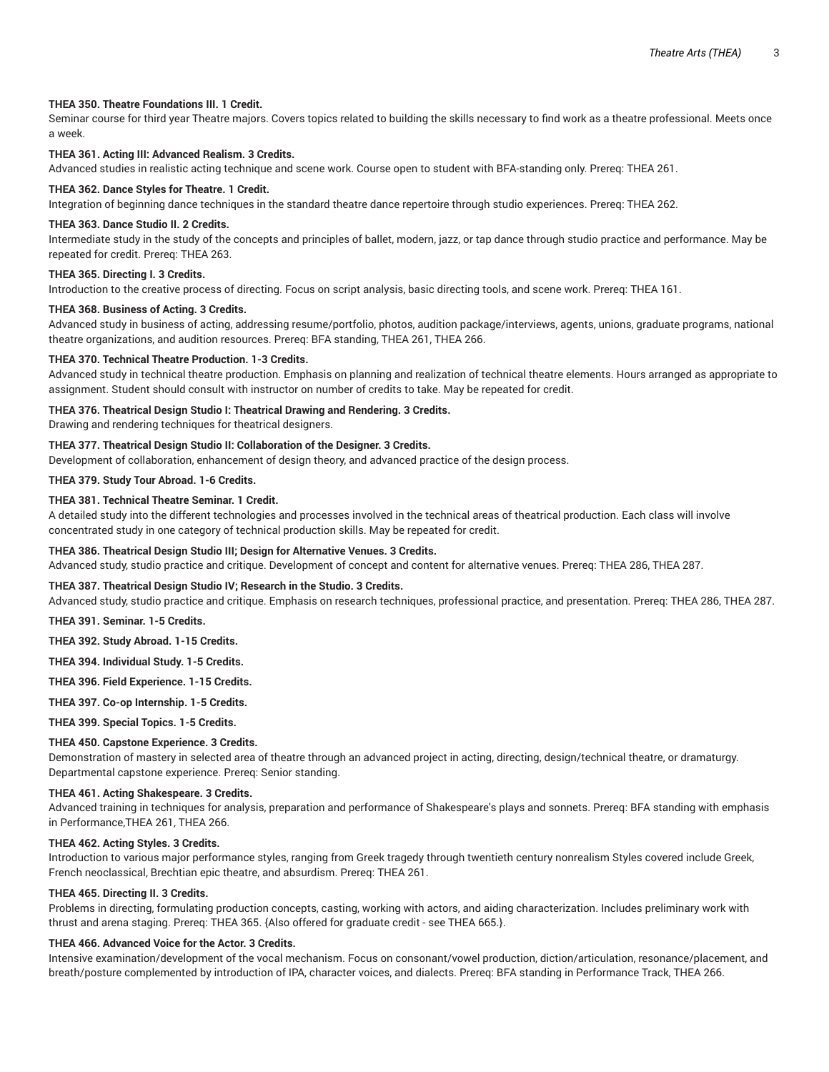# **THEA 350. Theatre Foundations III. 1 Credit.**

Seminar course for third year Theatre majors. Covers topics related to building the skills necessary to find work as a theatre professional. Meets once a week.

# **THEA 361. Acting III: Advanced Realism. 3 Credits.**

Advanced studies in realistic acting technique and scene work. Course open to student with BFA-standing only. Prereq: THEA 261.

#### **THEA 362. Dance Styles for Theatre. 1 Credit.**

Integration of beginning dance techniques in the standard theatre dance repertoire through studio experiences. Prereq: THEA 262.

## **THEA 363. Dance Studio II. 2 Credits.**

Intermediate study in the study of the concepts and principles of ballet, modern, jazz, or tap dance through studio practice and performance. May be repeated for credit. Prereq: THEA 263.

#### **THEA 365. Directing I. 3 Credits.**

Introduction to the creative process of directing. Focus on script analysis, basic directing tools, and scene work. Prereq: THEA 161.

### **THEA 368. Business of Acting. 3 Credits.**

Advanced study in business of acting, addressing resume/portfolio, photos, audition package/interviews, agents, unions, graduate programs, national theatre organizations, and audition resources. Prereq: BFA standing, THEA 261, THEA 266.

#### **THEA 370. Technical Theatre Production. 1-3 Credits.**

Advanced study in technical theatre production. Emphasis on planning and realization of technical theatre elements. Hours arranged as appropriate to assignment. Student should consult with instructor on number of credits to take. May be repeated for credit.

# **THEA 376. Theatrical Design Studio I: Theatrical Drawing and Rendering. 3 Credits.**

Drawing and rendering techniques for theatrical designers.

# **THEA 377. Theatrical Design Studio II: Collaboration of the Designer. 3 Credits.**

Development of collaboration, enhancement of design theory, and advanced practice of the design process.

# **THEA 379. Study Tour Abroad. 1-6 Credits.**

## **THEA 381. Technical Theatre Seminar. 1 Credit.**

A detailed study into the different technologies and processes involved in the technical areas of theatrical production. Each class will involve concentrated study in one category of technical production skills. May be repeated for credit.

#### **THEA 386. Theatrical Design Studio III; Design for Alternative Venues. 3 Credits.**

Advanced study, studio practice and critique. Development of concept and content for alternative venues. Prereq: THEA 286, THEA 287.

# **THEA 387. Theatrical Design Studio IV; Research in the Studio. 3 Credits.**

Advanced study, studio practice and critique. Emphasis on research techniques, professional practice, and presentation. Prereq: THEA 286, THEA 287.

**THEA 391. Seminar. 1-5 Credits.**

**THEA 392. Study Abroad. 1-15 Credits.**

**THEA 394. Individual Study. 1-5 Credits.**

**THEA 396. Field Experience. 1-15 Credits.**

**THEA 397. Co-op Internship. 1-5 Credits.**

**THEA 399. Special Topics. 1-5 Credits.**

#### **THEA 450. Capstone Experience. 3 Credits.**

Demonstration of mastery in selected area of theatre through an advanced project in acting, directing, design/technical theatre, or dramaturgy. Departmental capstone experience. Prereq: Senior standing.

## **THEA 461. Acting Shakespeare. 3 Credits.**

Advanced training in techniques for analysis, preparation and performance of Shakespeare's plays and sonnets. Prereq: BFA standing with emphasis in Performance,THEA 261, THEA 266.

## **THEA 462. Acting Styles. 3 Credits.**

Introduction to various major performance styles, ranging from Greek tragedy through twentieth century nonrealism Styles covered include Greek, French neoclassical, Brechtian epic theatre, and absurdism. Prereq: THEA 261.

## **THEA 465. Directing II. 3 Credits.**

Problems in directing, formulating production concepts, casting, working with actors, and aiding characterization. Includes preliminary work with thrust and arena staging. Prereq: THEA 365. {Also offered for graduate credit - see THEA 665.}.

## **THEA 466. Advanced Voice for the Actor. 3 Credits.**

Intensive examination/development of the vocal mechanism. Focus on consonant/vowel production, diction/articulation, resonance/placement, and breath/posture complemented by introduction of IPA, character voices, and dialects. Prereq: BFA standing in Performance Track, THEA 266.